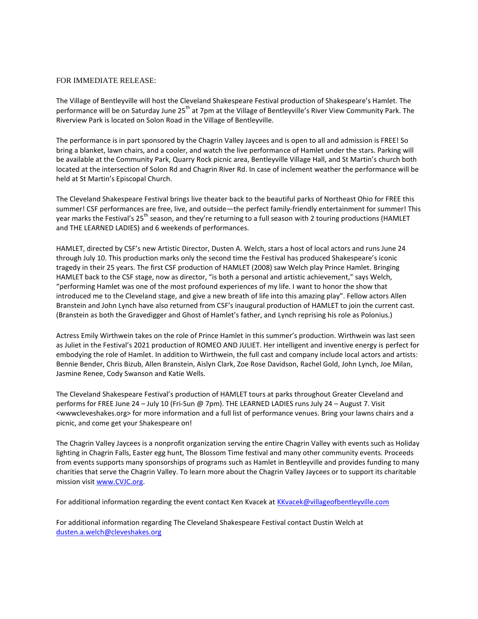## FOR IMMEDIATE RELEASE:

The Village of Bentleyville will host the Cleveland Shakespeare Festival production of Shakespeare's Hamlet. The performance will be on Saturday June 25<sup>th</sup> at 7pm at the Village of Bentleyville's River View Community Park. The Riverview Park is located on Solon Road in the Village of Bentleyville.

The performance is in part sponsored by the Chagrin Valley Jaycees and is open to all and admission is FREE! So bring a blanket, lawn chairs, and a cooler, and watch the live performance of Hamlet under the stars. Parking will be available at the Community Park, Quarry Rock picnic area, Bentleyville Village Hall, and St Martin's church both located at the intersection of Solon Rd and Chagrin River Rd. In case of inclement weather the performance will be held at St Martin's Episcopal Church.

The Cleveland Shakespeare Festival brings live theater back to the beautiful parks of Northeast Ohio for FREE this summer! CSF performances are free, live, and outside—the perfect family-friendly entertainment for summer! This year marks the Festival's 25<sup>th</sup> season, and they're returning to a full season with 2 touring productions (HAMLET and THE LEARNED LADIES) and 6 weekends of performances.

HAMLET, directed by CSF's new Artistic Director, Dusten A. Welch, stars a host of local actors and runs June 24 through July 10. This production marks only the second time the Festival has produced Shakespeare's iconic tragedy in their 25 years. The first CSF production of HAMLET (2008) saw Welch play Prince Hamlet. Bringing HAMLET back to the CSF stage, now as director, "is both a personal and artistic achievement," says Welch, "performing Hamlet was one of the most profound experiences of my life. I want to honor the show that introduced me to the Cleveland stage, and give a new breath of life into this amazing play". Fellow actors Allen Branstein and John Lynch have also returned from CSF's inaugural production of HAMLET to join the current cast. (Branstein as both the Gravedigger and Ghost of Hamlet's father, and Lynch reprising his role as Polonius.)

Actress Emily Wirthwein takes on the role of Prince Hamlet in this summer's production. Wirthwein was last seen as Juliet in the Festival's 2021 production of ROMEO AND JULIET. Her intelligent and inventive energy is perfect for embodying the role of Hamlet. In addition to Wirthwein, the full cast and company include local actors and artists: Bennie Bender, Chris Bizub, Allen Branstein, Aislyn Clark, Zoe Rose Davidson, Rachel Gold, John Lynch, Joe Milan, Jasmine Renee, Cody Swanson and Katie Wells.

The Cleveland Shakespeare Festival's production of HAMLET tours at parks throughout Greater Cleveland and performs for FREE June 24 – July 10 (Fri-Sun @ 7pm). THE LEARNED LADIES runs July 24 – August 7. Visit <wwwcleveshakes.org> for more information and a full list of performance venues. Bring your lawns chairs and a picnic, and come get your Shakespeare on!

The Chagrin Valley Jaycees is a nonprofit organization serving the entire Chagrin Valley with events such as Holiday lighting in Chagrin Falls, Easter egg hunt, The Blossom Time festival and many other community events. Proceeds from events supports many sponsorships of programs such as Hamlet in Bentleyville and provides funding to many charities that serve the Chagrin Valley. To learn more about the Chagrin Valley Jaycees or to support its charitable mission visit [www.CVJC.org.](http://www.cvjc.org/)

For additional information regarding the event contact Ken Kvacek at [KKvacek@villageofbentleyville.com](mailto:KKvacek@villageofbentleyville.com)

For additional information regarding The Cleveland Shakespeare Festival contact Dustin Welch at [dusten.a.welch@cleveshakes.org](mailto:dusten.a.welch@cleveshakes.org)